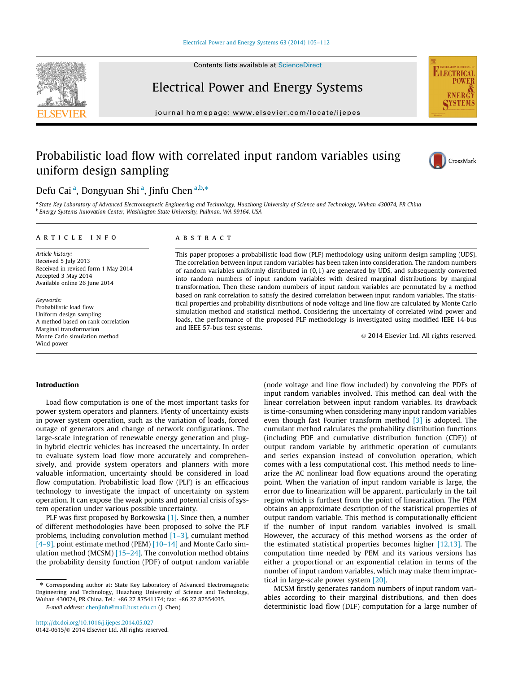#### [Electrical Power and Energy Systems 63 \(2014\) 105–112](http://dx.doi.org/10.1016/j.ijepes.2014.05.027)

Contents lists available at [ScienceDirect](http://www.sciencedirect.com/science/journal/01420615)

Electrical Power and Energy Systems



journal homepage: [www.elsevier.com/locate/ijepes](http://www.elsevier.com/locate/ijepes)

## Probabilistic load flow with correlated input random variables using uniform design sampling



### Defu Cai<sup>a</sup>, Dongyuan Shi<sup>a</sup>, Jinfu Chen<sup>a,b,\*</sup>

a State Key Laboratory of Advanced Electromagnetic Engineering and Technology, Huazhong University of Science and Technology, Wuhan 430074, PR China <sup>b</sup> Energy Systems Innovation Center, Washington State University, Pullman, WA 99164, USA

#### article info

Article history: Received 5 July 2013 Received in revised form 1 May 2014 Accepted 3 May 2014 Available online 26 June 2014

Keywords: Probabilistic load flow Uniform design sampling A method based on rank correlation Marginal transformation Monte Carlo simulation method Wind power

#### **ABSTRACT**

This paper proposes a probabilistic load flow (PLF) methodology using uniform design sampling (UDS). The correlation between input random variables has been taken into consideration. The random numbers of random variables uniformly distributed in  $(0,1)$  are generated by UDS, and subsequently converted into random numbers of input random variables with desired marginal distributions by marginal transformation. Then these random numbers of input random variables are permutated by a method based on rank correlation to satisfy the desired correlation between input random variables. The statistical properties and probability distributions of node voltage and line flow are calculated by Monte Carlo simulation method and statistical method. Considering the uncertainty of correlated wind power and loads, the performance of the proposed PLF methodology is investigated using modified IEEE 14-bus and IEEE 57-bus test systems.

- 2014 Elsevier Ltd. All rights reserved.

#### Introduction

Load flow computation is one of the most important tasks for power system operators and planners. Plenty of uncertainty exists in power system operation, such as the variation of loads, forced outage of generators and change of network configurations. The large-scale integration of renewable energy generation and plugin hybrid electric vehicles has increased the uncertainty. In order to evaluate system load flow more accurately and comprehensively, and provide system operators and planners with more valuable information, uncertainty should be considered in load flow computation. Probabilistic load flow (PLF) is an efficacious technology to investigate the impact of uncertainty on system operation. It can expose the weak points and potential crisis of system operation under various possible uncertainty.

PLF was first proposed by Borkowska [\[1\].](#page--1-0) Since then, a number of different methodologies have been proposed to solve the PLF problems, including convolution method  $[1-3]$ , cumulant method  $[4-9]$ , point estimate method (PEM)  $[10-14]$  and Monte Carlo simulation method (MCSM) [\[15–24\]](#page--1-0). The convolution method obtains the probability density function (PDF) of output random variable

E-mail address: [chenjinfu@mail.hust.edu.cn](mailto:chenjinfu@mail.hust.edu.cn) (J. Chen).

(node voltage and line flow included) by convolving the PDFs of input random variables involved. This method can deal with the linear correlation between input random variables. Its drawback is time-consuming when considering many input random variables even though fast Fourier transform method [\[3\]](#page--1-0) is adopted. The cumulant method calculates the probability distribution functions (including PDF and cumulative distribution function (CDF)) of output random variable by arithmetic operation of cumulants and series expansion instead of convolution operation, which comes with a less computational cost. This method needs to linearize the AC nonlinear load flow equations around the operating point. When the variation of input random variable is large, the error due to linearization will be apparent, particularly in the tail region which is furthest from the point of linearization. The PEM obtains an approximate description of the statistical properties of output random variable. This method is computationally efficient if the number of input random variables involved is small. However, the accuracy of this method worsens as the order of the estimated statistical properties becomes higher [\[12,13\]](#page--1-0). The computation time needed by PEM and its various versions has either a proportional or an exponential relation in terms of the number of input random variables, which may make them impractical in large-scale power system [\[20\]](#page--1-0).

MCSM firstly generates random numbers of input random variables according to their marginal distributions, and then does deterministic load flow (DLF) computation for a large number of

<sup>⇑</sup> Corresponding author at: State Key Laboratory of Advanced Electromagnetic Engineering and Technology, Huazhong University of Science and Technology, Wuhan 430074, PR China. Tel.: +86 27 87541174; fax: +86 27 87554035.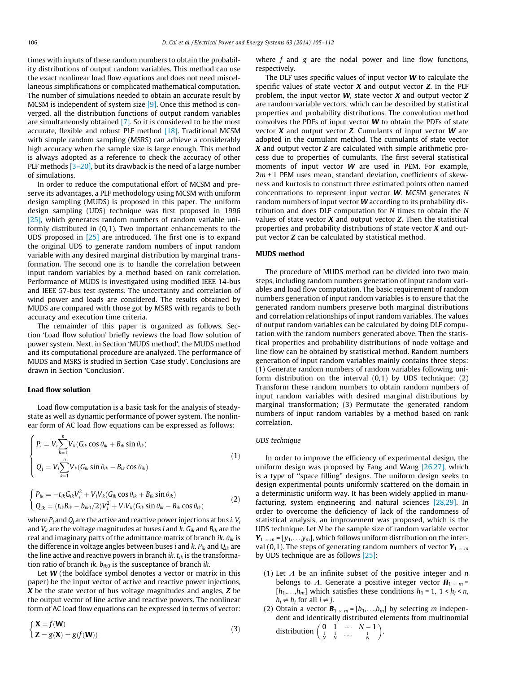times with inputs of these random numbers to obtain the probability distributions of output random variables. This method can use the exact nonlinear load flow equations and does not need miscellaneous simplifications or complicated mathematical computation. The number of simulations needed to obtain an accurate result by MCSM is independent of system size [\[9\].](#page--1-0) Once this method is converged, all the distribution functions of output random variables are simultaneously obtained [\[7\]](#page--1-0). So it is considered to be the most accurate, flexible and robust PLF method [\[18\].](#page--1-0) Traditional MCSM with simple random sampling (MSRS) can achieve a considerably high accuracy when the sample size is large enough. This method is always adopted as a reference to check the accuracy of other PLF methods [\[3–20\]](#page--1-0), but its drawback is the need of a large number of simulations.

In order to reduce the computational effort of MCSM and preserve its advantages, a PLF methodology using MCSM with uniform design sampling (MUDS) is proposed in this paper. The uniform design sampling (UDS) technique was first proposed in 1996 [\[25\]](#page--1-0), which generates random numbers of random variable uniformly distributed in (0,1). Two important enhancements to the UDS proposed in [\[25\]](#page--1-0) are introduced. The first one is to expand the original UDS to generate random numbers of input random variable with any desired marginal distribution by marginal transformation. The second one is to handle the correlation between input random variables by a method based on rank correlation. Performance of MUDS is investigated using modified IEEE 14-bus and IEEE 57-bus test systems. The uncertainty and correlation of wind power and loads are considered. The results obtained by MUDS are compared with those got by MSRS with regards to both accuracy and execution time criteria.

The remainder of this paper is organized as follows. Section 'Load flow solution' briefly reviews the load flow solution of power system. Next, in Section 'MUDS method', the MUDS method and its computational procedure are analyzed. The performance of MUDS and MSRS is studied in Section 'Case study'. Conclusions are drawn in Section 'Conclusion'.

#### Load flow solution

Load flow computation is a basic task for the analysis of steadystate as well as dynamic performance of power system. The nonlinear form of AC load flow equations can be expressed as follows:

$$
\begin{cases}\nP_i = V_i \sum_{k=1}^n V_k (G_{ik} \cos \theta_{ik} + B_{ik} \sin \theta_{ik}) \\
Q_i = V_i \sum_{k=1}^n V_k (G_{ik} \sin \theta_{ik} - B_{ik} \cos \theta_{ik})\n\end{cases} \tag{1}
$$

$$
\begin{cases}\nP_{ik} = -t_{ik}G_{ik}V_i^2 + V_iV_k(G_{ik}\cos\theta_{ik} + B_{ik}\sin\theta_{ik})\\Q_{ik} = (t_{ik}B_{ik} - b_{ik0}/2)V_i^2 + V_iV_k(G_{ik}\sin\theta_{ik} - B_{ik}\cos\theta_{ik})\n\end{cases}
$$
\n(2)

where  $P_i$  and  $Q_i$  are the active and reactive power injections at bus i.  $V_i$ and  $V_k$  are the voltage magnitudes at buses *i* and *k*.  $G_{ik}$  and  $B_{ik}$  are the real and imaginary parts of the admittance matrix of branch ik.  $\theta_{ik}$  is the difference in voltage angles between buses *i* and *k*.  $P_{ik}$  and  $Q_{ik}$  are the line active and reactive powers in branch *ik*.  $t_{ik}$  is the transformation ratio of branch *ik.*  $b_{ik0}$  is the susceptance of branch *ik.* 

Let  $W$  (the boldface symbol denotes a vector or matrix in this paper) be the input vector of active and reactive power injections,  $X$  be the state vector of bus voltage magnitudes and angles,  $Z$  be the output vector of line active and reactive powers. The nonlinear form of AC load flow equations can be expressed in terms of vector:

$$
\begin{cases}\n\mathbf{X} = f(\mathbf{W}) \\
\mathbf{Z} = g(\mathbf{X}) = g(f(\mathbf{W}))\n\end{cases}
$$
\n(3)

where  $f$  and  $g$  are the nodal power and line flow functions, respectively.

The DLF uses specific values of input vector  $W$  to calculate the specific values of state vector  $X$  and output vector  $Z$ . In the PLF problem, the input vector  $W$ , state vector  $X$  and output vector  $Z$ are random variable vectors, which can be described by statistical properties and probability distributions. The convolution method convolves the PDFs of input vector  $W$  to obtain the PDFs of state vector  $X$  and output vector  $Z$ . Cumulants of input vector  $W$  are adopted in the cumulant method. The cumulants of state vector  $X$  and output vector  $Z$  are calculated with simple arithmetic process due to properties of cumulants. The first several statistical moments of input vector W are used in PEM. For example,  $2m + 1$  PEM uses mean, standard deviation, coefficients of skewness and kurtosis to construct three estimated points often named concentrations to represent input vector W. MCSM generates N random numbers of input vector W according to its probability distribution and does DLF computation for N times to obtain the N values of state vector  $X$  and output vector  $Z$ . Then the statistical properties and probability distributions of state vector  $X$  and output vector Z can be calculated by statistical method.

### MUDS method

The procedure of MUDS method can be divided into two main steps, including random numbers generation of input random variables and load flow computation. The basic requirement of random numbers generation of input random variables is to ensure that the generated random numbers preserve both marginal distributions and correlation relationships of input random variables. The values of output random variables can be calculated by doing DLF computation with the random numbers generated above. Then the statistical properties and probability distributions of node voltage and line flow can be obtained by statistical method. Random numbers generation of input random variables mainly contains three steps: (1) Generate random numbers of random variables following uniform distribution on the interval (0,1) by UDS technique; (2) Transform these random numbers to obtain random numbers of input random variables with desired marginal distributions by marginal transformation; (3) Permutate the generated random numbers of input random variables by a method based on rank correlation.

#### UDS technique

In order to improve the efficiency of experimental design, the uniform design was proposed by Fang and Wang [\[26,27\]](#page--1-0), which is a type of ''space filling'' designs. The uniform design seeks to design experimental points uniformly scattered on the domain in a deterministic uniform way. It has been widely applied in manufacturing, system engineering and natural sciences [\[28,29\]](#page--1-0). In order to overcome the deficiency of lack of the randomness of statistical analysis, an improvement was proposed, which is the UDS technique. Let N be the sample size of random variable vector  $Y_{1 \times m} = [y_1,...,y_m]$ , which follows uniform distribution on the interval (0,1). The steps of generating random numbers of vector  $Y_{1 \times m}$ by UDS technique are as follows [\[25\]](#page--1-0):

- (1) Let  $\Lambda$  be an infinite subset of the positive integer and  $n$ belongs to  $\Lambda$ . Generate a positive integer vector  $H_{1 \times m}$  =  $[h_1, \ldots, h_m]$  which satisfies these conditions  $h_1 = 1$ ,  $1 < h_j < n$ ,  $h_i \neq h_j$  for all  $i \neq j$ .
- (2) Obtain a vector  $\mathbf{B}_{1 \times m}$  = [ $b_1$ , ..., $b_m$ ] by selecting m independent and identically distributed elements from multinomial distribution  $\begin{pmatrix} 0 & 1 & \cdots & N-1 \\ \frac{1}{N} & \frac{1}{N} & \cdots & \frac{1}{N} \end{pmatrix}$  $(0, 1, N, 1)$ .